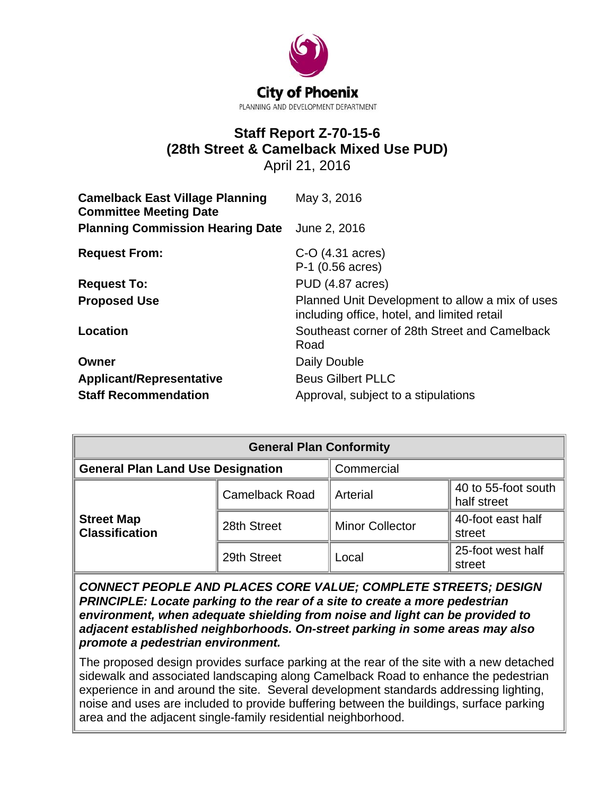

# **Staff Report Z-70-15-6 (28th Street & Camelback Mixed Use PUD)**

April 21, 2016

| <b>Camelback East Village Planning</b><br><b>Committee Meeting Date</b> | May 3, 2016                                                                                    |
|-------------------------------------------------------------------------|------------------------------------------------------------------------------------------------|
| <b>Planning Commission Hearing Date</b>                                 | June 2, 2016                                                                                   |
| <b>Request From:</b>                                                    | $C-O$ (4.31 acres)<br>P-1 (0.56 acres)                                                         |
| <b>Request To:</b>                                                      | PUD (4.87 acres)                                                                               |
| <b>Proposed Use</b>                                                     | Planned Unit Development to allow a mix of uses<br>including office, hotel, and limited retail |
| Location                                                                | Southeast corner of 28th Street and Camelback<br>Road                                          |
| Owner                                                                   | Daily Double                                                                                   |
| <b>Applicant/Representative</b>                                         | <b>Beus Gilbert PLLC</b>                                                                       |
| <b>Staff Recommendation</b>                                             | Approval, subject to a stipulations                                                            |

| <b>General Plan Conformity</b>             |                       |                        |                                    |  |  |
|--------------------------------------------|-----------------------|------------------------|------------------------------------|--|--|
| <b>General Plan Land Use Designation</b>   |                       | Commercial             |                                    |  |  |
|                                            | <b>Camelback Road</b> | Arterial               | 40 to 55-foot south<br>half street |  |  |
| <b>Street Map</b><br><b>Classification</b> | 28th Street           | <b>Minor Collector</b> | 40-foot east half<br>street        |  |  |
|                                            | 29th Street           | Local                  | 25-foot west half<br>street        |  |  |

*CONNECT PEOPLE AND PLACES CORE VALUE; COMPLETE STREETS; DESIGN PRINCIPLE: Locate parking to the rear of a site to create a more pedestrian environment, when adequate shielding from noise and light can be provided to adjacent established neighborhoods. On-street parking in some areas may also promote a pedestrian environment.*

The proposed design provides surface parking at the rear of the site with a new detached sidewalk and associated landscaping along Camelback Road to enhance the pedestrian experience in and around the site. Several development standards addressing lighting, noise and uses are included to provide buffering between the buildings, surface parking area and the adjacent single-family residential neighborhood.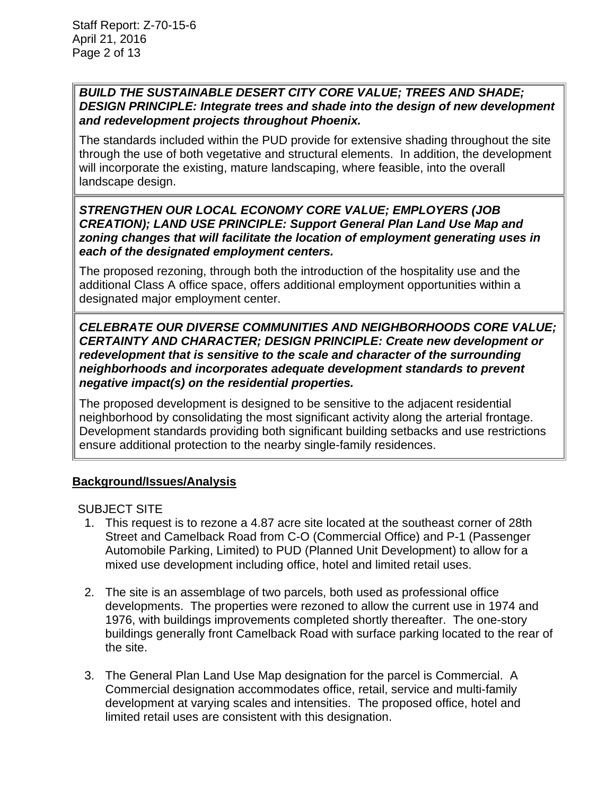## *BUILD THE SUSTAINABLE DESERT CITY CORE VALUE; TREES AND SHADE; DESIGN PRINCIPLE: Integrate trees and shade into the design of new development and redevelopment projects throughout Phoenix.*

The standards included within the PUD provide for extensive shading throughout the site through the use of both vegetative and structural elements. In addition, the development will incorporate the existing, mature landscaping, where feasible, into the overall landscape design.

## *STRENGTHEN OUR LOCAL ECONOMY CORE VALUE; EMPLOYERS (JOB CREATION); LAND USE PRINCIPLE: Support General Plan Land Use Map and zoning changes that will facilitate the location of employment generating uses in each of the designated employment centers.*

The proposed rezoning, through both the introduction of the hospitality use and the additional Class A office space, offers additional employment opportunities within a designated major employment center.

## *CELEBRATE OUR DIVERSE COMMUNITIES AND NEIGHBORHOODS CORE VALUE; CERTAINTY AND CHARACTER; DESIGN PRINCIPLE: Create new development or redevelopment that is sensitive to the scale and character of the surrounding neighborhoods and incorporates adequate development standards to prevent negative impact(s) on the residential properties.*

The proposed development is designed to be sensitive to the adjacent residential neighborhood by consolidating the most significant activity along the arterial frontage. Development standards providing both significant building setbacks and use restrictions ensure additional protection to the nearby single-family residences.

# **Background/Issues/Analysis**

## SUBJECT SITE

- 1. This request is to rezone a 4.87 acre site located at the southeast corner of 28th Street and Camelback Road from C-O (Commercial Office) and P-1 (Passenger Automobile Parking, Limited) to PUD (Planned Unit Development) to allow for a mixed use development including office, hotel and limited retail uses.
- 2. The site is an assemblage of two parcels, both used as professional office developments. The properties were rezoned to allow the current use in 1974 and 1976, with buildings improvements completed shortly thereafter. The one-story buildings generally front Camelback Road with surface parking located to the rear of the site.
- 3. The General Plan Land Use Map designation for the parcel is Commercial. A Commercial designation accommodates office, retail, service and multi-family development at varying scales and intensities. The proposed office, hotel and limited retail uses are consistent with this designation.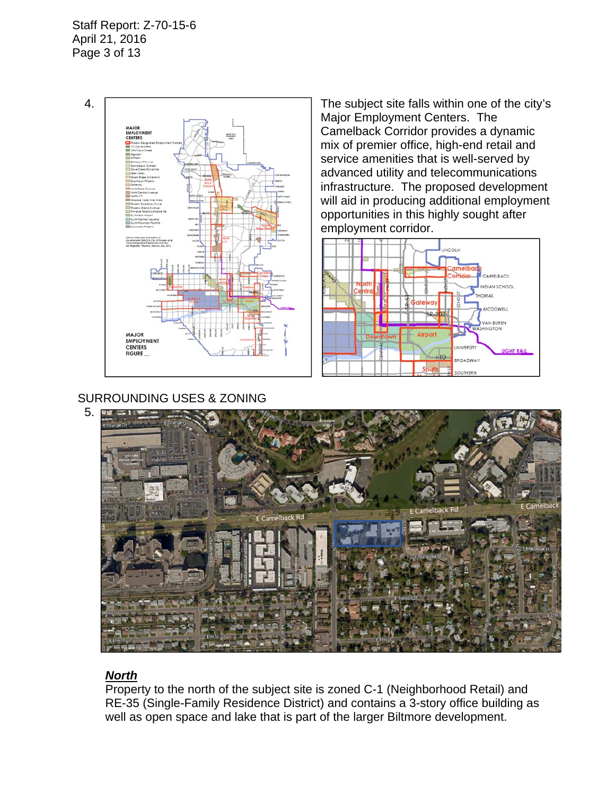Staff Report: Z-70-15-6 April 21, 2016 Page 3 of 13



Major Employment Centers. The Camelback Corridor provides a dynamic mix of premier office, high-end retail and service amenities that is well-served by advanced utility and telecommunications infrastructure. The proposed development will aid in producing additional employment opportunities in this highly sought after employment corridor.



## SURROUNDING USES & ZONING



# *North*

Property to the north of the subject site is zoned C-1 (Neighborhood Retail) and RE-35 (Single-Family Residence District) and contains a 3-story office building as well as open space and lake that is part of the larger Biltmore development.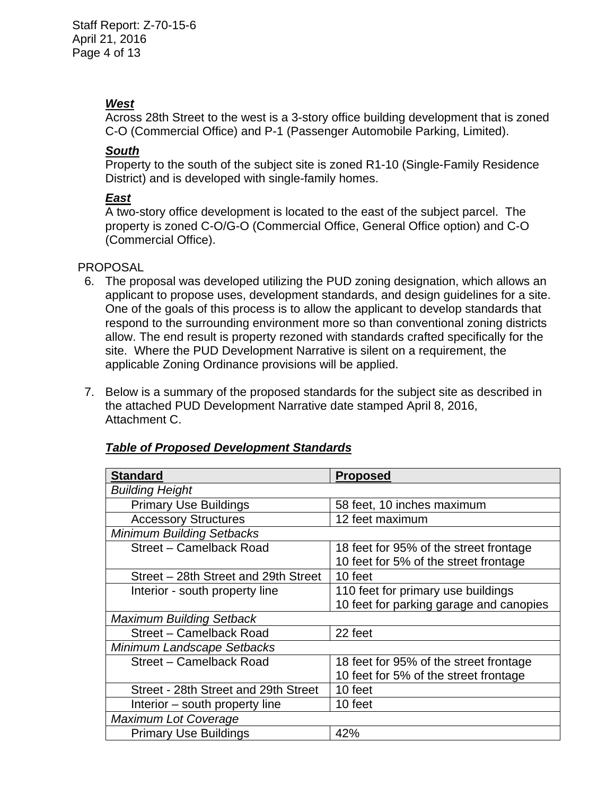## *West*

Across 28th Street to the west is a 3-story office building development that is zoned C-O (Commercial Office) and P-1 (Passenger Automobile Parking, Limited).

## *South*

 Property to the south of the subject site is zoned R1-10 (Single-Family Residence District) and is developed with single-family homes.

# *East*

 A two-story office development is located to the east of the subject parcel. The property is zoned C-O/G-O (Commercial Office, General Office option) and C-O (Commercial Office).

## PROPOSAL

- 6. The proposal was developed utilizing the PUD zoning designation, which allows an applicant to propose uses, development standards, and design guidelines for a site. One of the goals of this process is to allow the applicant to develop standards that respond to the surrounding environment more so than conventional zoning districts allow. The end result is property rezoned with standards crafted specifically for the site. Where the PUD Development Narrative is silent on a requirement, the applicable Zoning Ordinance provisions will be applied.
- 7. Below is a summary of the proposed standards for the subject site as described in the attached PUD Development Narrative date stamped April 8, 2016, Attachment C.

| <b>Standard</b>                      | <b>Proposed</b>                         |  |  |
|--------------------------------------|-----------------------------------------|--|--|
| <b>Building Height</b>               |                                         |  |  |
| <b>Primary Use Buildings</b>         | 58 feet, 10 inches maximum              |  |  |
| <b>Accessory Structures</b>          | 12 feet maximum                         |  |  |
| <b>Minimum Building Setbacks</b>     |                                         |  |  |
| Street - Camelback Road              | 18 feet for 95% of the street frontage  |  |  |
|                                      | 10 feet for 5% of the street frontage   |  |  |
| Street – 28th Street and 29th Street | 10 feet                                 |  |  |
| Interior - south property line       | 110 feet for primary use buildings      |  |  |
|                                      | 10 feet for parking garage and canopies |  |  |
| <b>Maximum Building Setback</b>      |                                         |  |  |
| Street - Camelback Road              | 22 feet                                 |  |  |
| Minimum Landscape Setbacks           |                                         |  |  |
| Street - Camelback Road              | 18 feet for 95% of the street frontage  |  |  |
|                                      | 10 feet for 5% of the street frontage   |  |  |
| Street - 28th Street and 29th Street | 10 feet                                 |  |  |
| Interior – south property line       | 10 feet                                 |  |  |
| <b>Maximum Lot Coverage</b>          |                                         |  |  |
| <b>Primary Use Buildings</b>         | 42%                                     |  |  |

# *Table of Proposed Development Standards*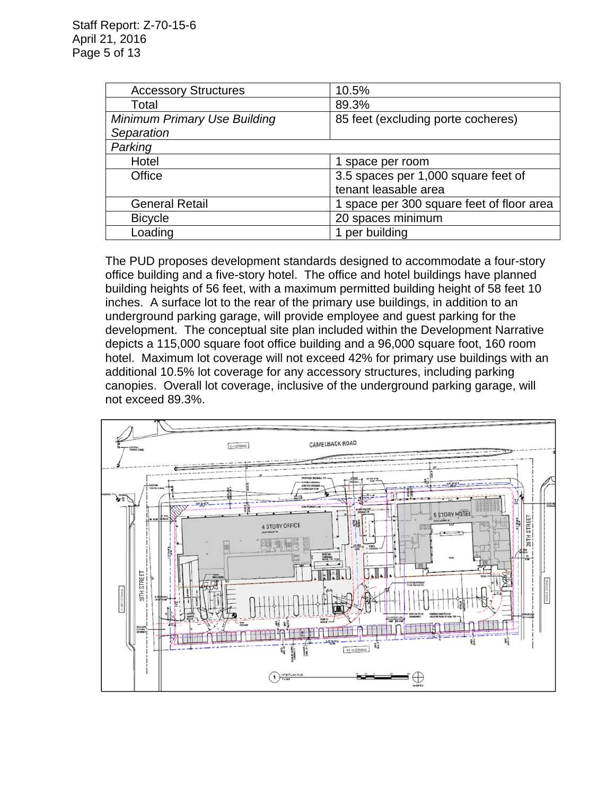| <b>Accessory Structures</b>         | 10.5%                                     |
|-------------------------------------|-------------------------------------------|
| Total                               | 89.3%                                     |
| <b>Minimum Primary Use Building</b> | 85 feet (excluding porte cocheres)        |
| Separation                          |                                           |
| Parking                             |                                           |
| Hotel                               | 1 space per room                          |
| Office                              | 3.5 spaces per 1,000 square feet of       |
|                                     | tenant leasable area                      |
| <b>General Retail</b>               | 1 space per 300 square feet of floor area |
| <b>Bicycle</b>                      | 20 spaces minimum                         |
| Loading                             | per building                              |

The PUD proposes development standards designed to accommodate a four-story office building and a five-story hotel. The office and hotel buildings have planned building heights of 56 feet, with a maximum permitted building height of 58 feet 10 inches. A surface lot to the rear of the primary use buildings, in addition to an underground parking garage, will provide employee and guest parking for the development. The conceptual site plan included within the Development Narrative depicts a 115,000 square foot office building and a 96,000 square foot, 160 room hotel. Maximum lot coverage will not exceed 42% for primary use buildings with an additional 10.5% lot coverage for any accessory structures, including parking canopies. Overall lot coverage, inclusive of the underground parking garage, will not exceed 89.3%.

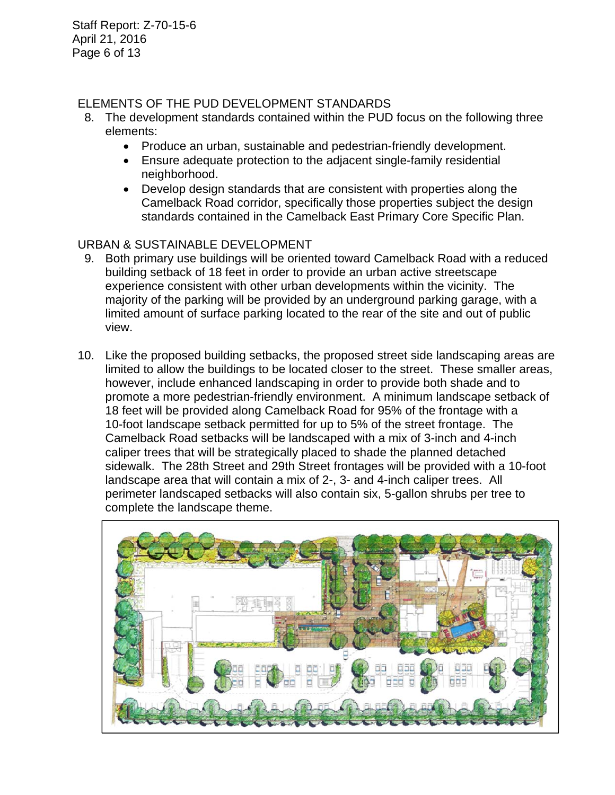Staff Report: Z-70-15-6 April 21, 2016 Page 6 of 13

## ELEMENTS OF THE PUD DEVELOPMENT STANDARDS

- 8. The development standards contained within the PUD focus on the following three elements:
	- Produce an urban, sustainable and pedestrian-friendly development.
	- Ensure adequate protection to the adjacent single-family residential neighborhood.
	- Develop design standards that are consistent with properties along the Camelback Road corridor, specifically those properties subject the design standards contained in the Camelback East Primary Core Specific Plan.

# URBAN & SUSTAINABLE DEVELOPMENT

- 9. Both primary use buildings will be oriented toward Camelback Road with a reduced building setback of 18 feet in order to provide an urban active streetscape experience consistent with other urban developments within the vicinity. The majority of the parking will be provided by an underground parking garage, with a limited amount of surface parking located to the rear of the site and out of public view.
- 10. Like the proposed building setbacks, the proposed street side landscaping areas are limited to allow the buildings to be located closer to the street. These smaller areas, however, include enhanced landscaping in order to provide both shade and to promote a more pedestrian-friendly environment. A minimum landscape setback of 18 feet will be provided along Camelback Road for 95% of the frontage with a 10-foot landscape setback permitted for up to 5% of the street frontage. The Camelback Road setbacks will be landscaped with a mix of 3-inch and 4-inch caliper trees that will be strategically placed to shade the planned detached sidewalk. The 28th Street and 29th Street frontages will be provided with a 10-foot landscape area that will contain a mix of 2-, 3- and 4-inch caliper trees. All perimeter landscaped setbacks will also contain six, 5-gallon shrubs per tree to complete the landscape theme.

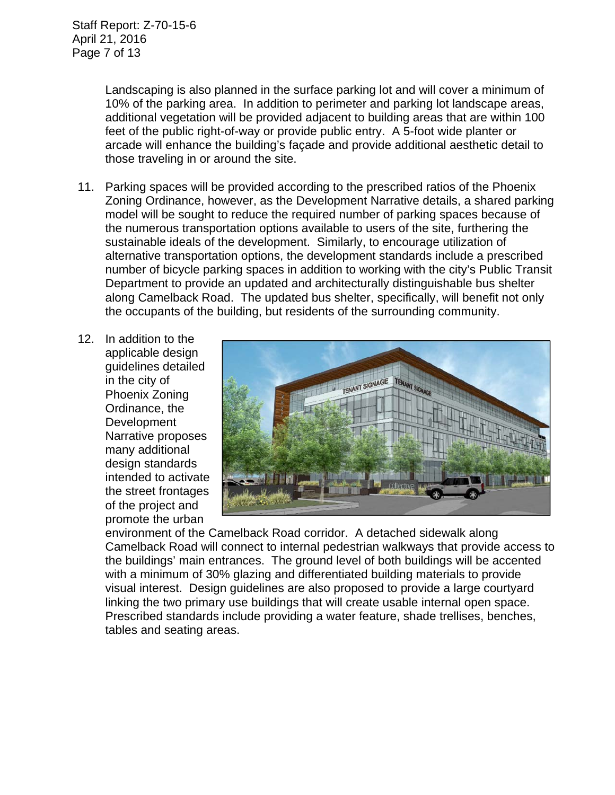Landscaping is also planned in the surface parking lot and will cover a minimum of 10% of the parking area. In addition to perimeter and parking lot landscape areas, additional vegetation will be provided adjacent to building areas that are within 100 feet of the public right-of-way or provide public entry. A 5-foot wide planter or arcade will enhance the building's façade and provide additional aesthetic detail to those traveling in or around the site.

- 11. Parking spaces will be provided according to the prescribed ratios of the Phoenix Zoning Ordinance, however, as the Development Narrative details, a shared parking model will be sought to reduce the required number of parking spaces because of the numerous transportation options available to users of the site, furthering the sustainable ideals of the development. Similarly, to encourage utilization of alternative transportation options, the development standards include a prescribed number of bicycle parking spaces in addition to working with the city's Public Transit Department to provide an updated and architecturally distinguishable bus shelter along Camelback Road. The updated bus shelter, specifically, will benefit not only the occupants of the building, but residents of the surrounding community.
- 12. In addition to the applicable design guidelines detailed in the city of Phoenix Zoning Ordinance, the **Development** Narrative proposes many additional design standards intended to activate the street frontages of the project and promote the urban



environment of the Camelback Road corridor. A detached sidewalk along Camelback Road will connect to internal pedestrian walkways that provide access to the buildings' main entrances. The ground level of both buildings will be accented with a minimum of 30% glazing and differentiated building materials to provide visual interest. Design guidelines are also proposed to provide a large courtyard linking the two primary use buildings that will create usable internal open space. Prescribed standards include providing a water feature, shade trellises, benches, tables and seating areas.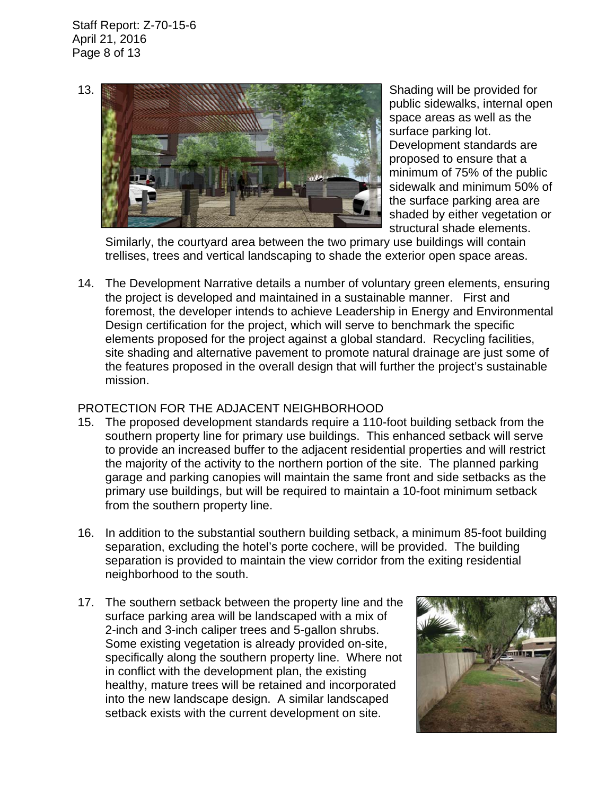Staff Report: Z-70-15-6 April 21, 2016 Page 8 of 13



public sidewalks, internal open space areas as well as the surface parking lot. Development standards are proposed to ensure that a minimum of 75% of the public sidewalk and minimum 50% of the surface parking area are shaded by either vegetation or structural shade elements.

Similarly, the courtyard area between the two primary use buildings will contain trellises, trees and vertical landscaping to shade the exterior open space areas.

14. The Development Narrative details a number of voluntary green elements, ensuring the project is developed and maintained in a sustainable manner. First and foremost, the developer intends to achieve Leadership in Energy and Environmental Design certification for the project, which will serve to benchmark the specific elements proposed for the project against a global standard. Recycling facilities, site shading and alternative pavement to promote natural drainage are just some of the features proposed in the overall design that will further the project's sustainable mission.

## PROTECTION FOR THE ADJACENT NEIGHBORHOOD

- 15. The proposed development standards require a 110-foot building setback from the southern property line for primary use buildings. This enhanced setback will serve to provide an increased buffer to the adjacent residential properties and will restrict the majority of the activity to the northern portion of the site. The planned parking garage and parking canopies will maintain the same front and side setbacks as the primary use buildings, but will be required to maintain a 10-foot minimum setback from the southern property line.
- 16. In addition to the substantial southern building setback, a minimum 85-foot building separation, excluding the hotel's porte cochere, will be provided. The building separation is provided to maintain the view corridor from the exiting residential neighborhood to the south.
- 17. The southern setback between the property line and the surface parking area will be landscaped with a mix of 2-inch and 3-inch caliper trees and 5-gallon shrubs. Some existing vegetation is already provided on-site, specifically along the southern property line. Where not in conflict with the development plan, the existing healthy, mature trees will be retained and incorporated into the new landscape design. A similar landscaped setback exists with the current development on site.

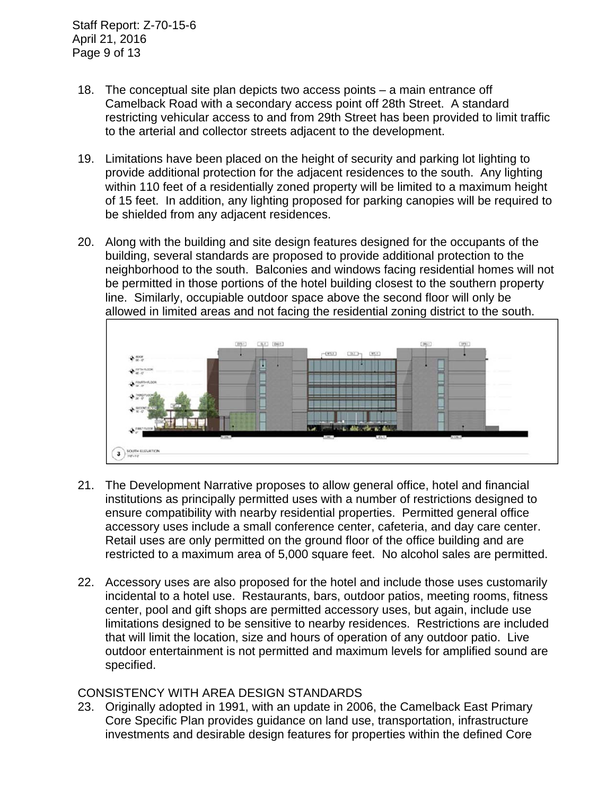- 18. The conceptual site plan depicts two access points a main entrance off Camelback Road with a secondary access point off 28th Street. A standard restricting vehicular access to and from 29th Street has been provided to limit traffic to the arterial and collector streets adjacent to the development.
- 19. Limitations have been placed on the height of security and parking lot lighting to provide additional protection for the adjacent residences to the south. Any lighting within 110 feet of a residentially zoned property will be limited to a maximum height of 15 feet. In addition, any lighting proposed for parking canopies will be required to be shielded from any adjacent residences.
- 20. Along with the building and site design features designed for the occupants of the building, several standards are proposed to provide additional protection to the neighborhood to the south. Balconies and windows facing residential homes will not be permitted in those portions of the hotel building closest to the southern property line. Similarly, occupiable outdoor space above the second floor will only be allowed in limited areas and not facing the residential zoning district to the south.



- 21. The Development Narrative proposes to allow general office, hotel and financial institutions as principally permitted uses with a number of restrictions designed to ensure compatibility with nearby residential properties. Permitted general office accessory uses include a small conference center, cafeteria, and day care center. Retail uses are only permitted on the ground floor of the office building and are restricted to a maximum area of 5,000 square feet. No alcohol sales are permitted.
- 22. Accessory uses are also proposed for the hotel and include those uses customarily incidental to a hotel use. Restaurants, bars, outdoor patios, meeting rooms, fitness center, pool and gift shops are permitted accessory uses, but again, include use limitations designed to be sensitive to nearby residences. Restrictions are included that will limit the location, size and hours of operation of any outdoor patio. Live outdoor entertainment is not permitted and maximum levels for amplified sound are specified.

## CONSISTENCY WITH AREA DESIGN STANDARDS

23. Originally adopted in 1991, with an update in 2006, the Camelback East Primary Core Specific Plan provides guidance on land use, transportation, infrastructure investments and desirable design features for properties within the defined Core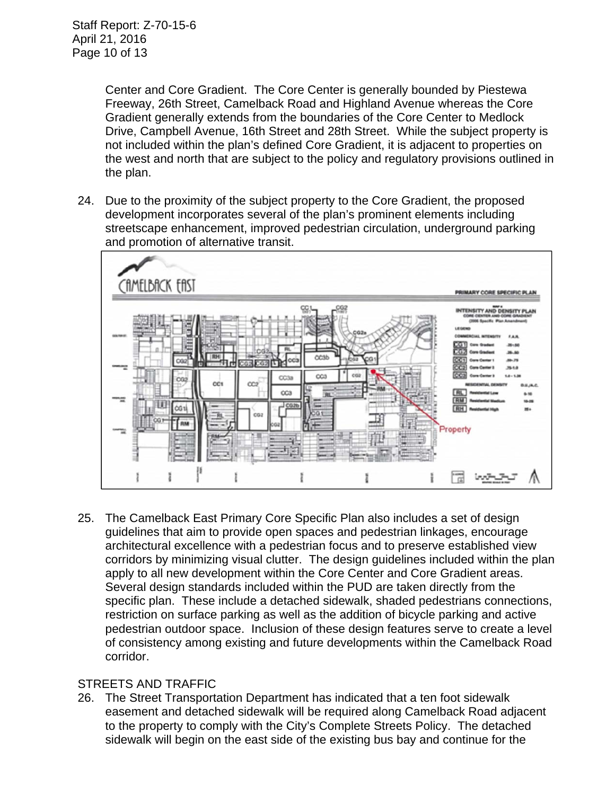Center and Core Gradient. The Core Center is generally bounded by Piestewa Freeway, 26th Street, Camelback Road and Highland Avenue whereas the Core Gradient generally extends from the boundaries of the Core Center to Medlock Drive, Campbell Avenue, 16th Street and 28th Street. While the subject property is not included within the plan's defined Core Gradient, it is adjacent to properties on the west and north that are subject to the policy and regulatory provisions outlined in the plan.

24. Due to the proximity of the subject property to the Core Gradient, the proposed development incorporates several of the plan's prominent elements including streetscape enhancement, improved pedestrian circulation, underground parking and promotion of alternative transit.



25. The Camelback East Primary Core Specific Plan also includes a set of design guidelines that aim to provide open spaces and pedestrian linkages, encourage architectural excellence with a pedestrian focus and to preserve established view corridors by minimizing visual clutter. The design guidelines included within the plan apply to all new development within the Core Center and Core Gradient areas. Several design standards included within the PUD are taken directly from the specific plan. These include a detached sidewalk, shaded pedestrians connections, restriction on surface parking as well as the addition of bicycle parking and active pedestrian outdoor space. Inclusion of these design features serve to create a level of consistency among existing and future developments within the Camelback Road corridor.

# STREETS AND TRAFFIC

26. The Street Transportation Department has indicated that a ten foot sidewalk easement and detached sidewalk will be required along Camelback Road adjacent to the property to comply with the City's Complete Streets Policy. The detached sidewalk will begin on the east side of the existing bus bay and continue for the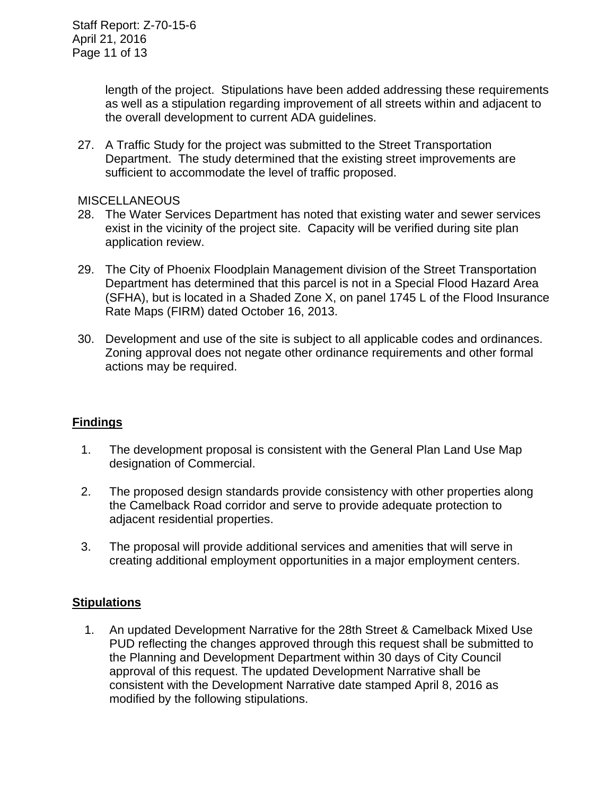length of the project. Stipulations have been added addressing these requirements as well as a stipulation regarding improvement of all streets within and adjacent to the overall development to current ADA guidelines.

27. A Traffic Study for the project was submitted to the Street Transportation Department. The study determined that the existing street improvements are sufficient to accommodate the level of traffic proposed.

#### **MISCELLANEOUS**

- 28. The Water Services Department has noted that existing water and sewer services exist in the vicinity of the project site. Capacity will be verified during site plan application review.
- 29. The City of Phoenix Floodplain Management division of the Street Transportation Department has determined that this parcel is not in a Special Flood Hazard Area (SFHA), but is located in a Shaded Zone X, on panel 1745 L of the Flood Insurance Rate Maps (FIRM) dated October 16, 2013.
- 30. Development and use of the site is subject to all applicable codes and ordinances. Zoning approval does not negate other ordinance requirements and other formal actions may be required.

# **Findings**

- 1. The development proposal is consistent with the General Plan Land Use Map designation of Commercial.
- 2. The proposed design standards provide consistency with other properties along the Camelback Road corridor and serve to provide adequate protection to adjacent residential properties.
- 3. The proposal will provide additional services and amenities that will serve in creating additional employment opportunities in a major employment centers.

## **Stipulations**

 1. An updated Development Narrative for the 28th Street & Camelback Mixed Use PUD reflecting the changes approved through this request shall be submitted to the Planning and Development Department within 30 days of City Council approval of this request. The updated Development Narrative shall be consistent with the Development Narrative date stamped April 8, 2016 as modified by the following stipulations.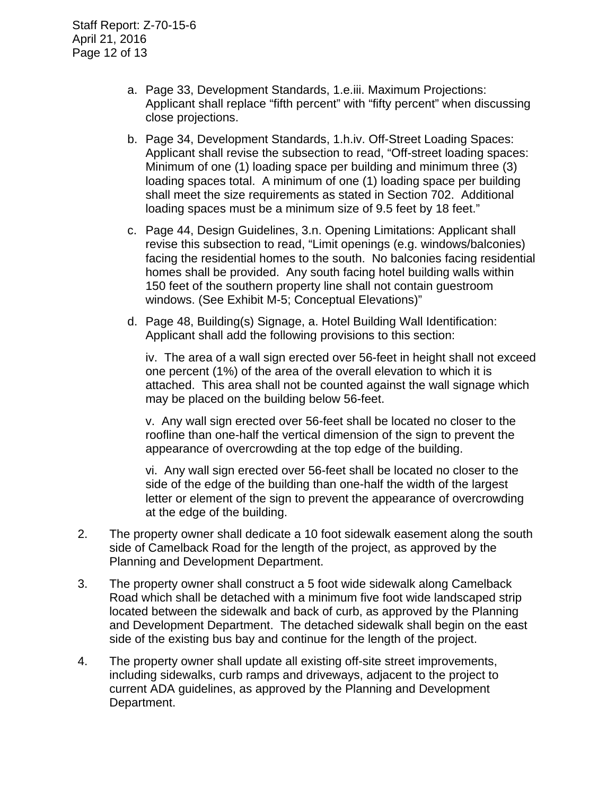- a. Page 33, Development Standards, 1.e.iii. Maximum Projections: Applicant shall replace "fifth percent" with "fifty percent" when discussing close projections.
- b. Page 34, Development Standards, 1.h.iv. Off-Street Loading Spaces: Applicant shall revise the subsection to read, "Off-street loading spaces: Minimum of one (1) loading space per building and minimum three (3) loading spaces total. A minimum of one (1) loading space per building shall meet the size requirements as stated in Section 702. Additional loading spaces must be a minimum size of 9.5 feet by 18 feet."
- c. Page 44, Design Guidelines, 3.n. Opening Limitations: Applicant shall revise this subsection to read, "Limit openings (e.g. windows/balconies) facing the residential homes to the south. No balconies facing residential homes shall be provided. Any south facing hotel building walls within 150 feet of the southern property line shall not contain guestroom windows. (See Exhibit M-5; Conceptual Elevations)"
- d. Page 48, Building(s) Signage, a. Hotel Building Wall Identification: Applicant shall add the following provisions to this section:

iv. The area of a wall sign erected over 56-feet in height shall not exceed one percent (1%) of the area of the overall elevation to which it is attached. This area shall not be counted against the wall signage which may be placed on the building below 56-feet.

v. Any wall sign erected over 56-feet shall be located no closer to the roofline than one-half the vertical dimension of the sign to prevent the appearance of overcrowding at the top edge of the building.

vi. Any wall sign erected over 56-feet shall be located no closer to the side of the edge of the building than one-half the width of the largest letter or element of the sign to prevent the appearance of overcrowding at the edge of the building.

- 2. The property owner shall dedicate a 10 foot sidewalk easement along the south side of Camelback Road for the length of the project, as approved by the Planning and Development Department.
- 3. The property owner shall construct a 5 foot wide sidewalk along Camelback Road which shall be detached with a minimum five foot wide landscaped strip located between the sidewalk and back of curb, as approved by the Planning and Development Department. The detached sidewalk shall begin on the east side of the existing bus bay and continue for the length of the project.
- 4. The property owner shall update all existing off-site street improvements, including sidewalks, curb ramps and driveways, adjacent to the project to current ADA guidelines, as approved by the Planning and Development Department.